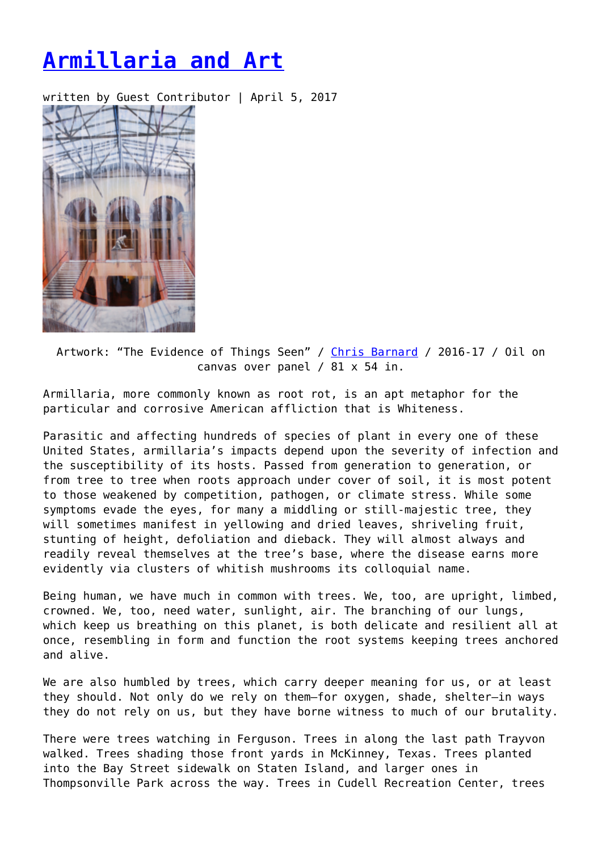## **[Armillaria and Art](https://entropymag.org/armillaria-and-art/)**

written by Guest Contributor | April 5, 2017



Artwork: "The Evidence of Things Seen" / [Chris Barnard](http://chrisbarnard.com) / 2016-17 / Oil on canvas over panel / 81 x 54 in.

Armillaria, more commonly known as root rot, is an apt metaphor for the particular and corrosive American affliction that is Whiteness.

Parasitic and affecting hundreds of species of plant in every one of these United States, armillaria's impacts depend upon the severity of infection and the susceptibility of its hosts. Passed from generation to generation, or from tree to tree when roots approach under cover of soil, it is most potent to those weakened by competition, pathogen, or climate stress. While some symptoms evade the eyes, for many a middling or still-majestic tree, they will sometimes manifest in yellowing and dried leaves, shriveling fruit, stunting of height, defoliation and dieback. They will almost always and readily reveal themselves at the tree's base, where the disease earns more evidently via clusters of whitish mushrooms its colloquial name.

Being human, we have much in common with trees. We, too, are upright, limbed, crowned. We, too, need water, sunlight, air. The branching of our lungs, which keep us breathing on this planet, is both delicate and resilient all at once, resembling in form and function the root systems keeping trees anchored and alive.

We are also humbled by trees, which carry deeper meaning for us, or at least they should. Not only do we rely on them—for oxygen, shade, shelter—in ways they do not rely on us, but they have borne witness to much of our brutality.

There were trees watching in Ferguson. Trees in along the last path Trayvon walked. Trees shading those front yards in McKinney, Texas. Trees planted into the Bay Street sidewalk on Staten Island, and larger ones in Thompsonville Park across the way. Trees in Cudell Recreation Center, trees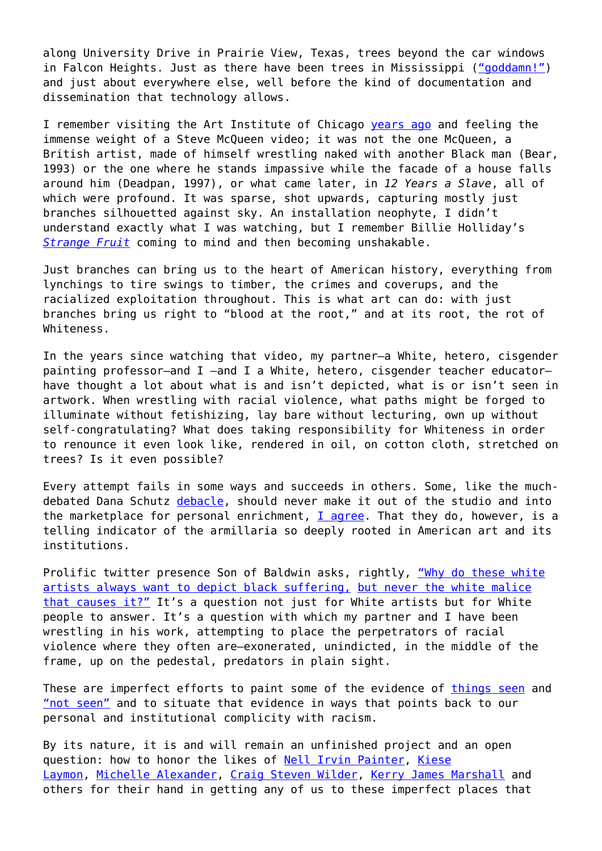along University Drive in Prairie View, Texas, trees beyond the car windows in Falcon Heights. Just as there have been trees in Mississippi (["goddamn!"](https://www.youtube.com/watch?v=LJ25-U3jNWM)) and just about everywhere else, well before the kind of documentation and dissemination that technology allows.

I remember visiting the Art Institute of Chicago [years ago](http://www.artic.edu/exhibition/steve-mcqueen) and feeling the immense weight of a Steve McQueen video; it was not the one McQueen, a British artist, made of himself wrestling naked with another Black man (Bear, 1993) or the one where he stands impassive while the facade of a house falls around him (Deadpan, 1997), or what came later, in *12 Years a Slave*, all of which were profound. It was sparse, shot upwards, capturing mostly just branches silhouetted against sky. An installation neophyte, I didn't understand exactly what I was watching, but I remember Billie Holliday's *[Strange Fruit](https://www.youtube.com/watch?v=h4ZyuULy9zs)* coming to mind and then becoming unshakable.

Just branches can bring us to the heart of American history, everything from lynchings to tire swings to timber, the crimes and coverups, and the racialized exploitation throughout. This is what art can do: with just branches bring us right to "blood at the root," and at its root, the rot of Whiteness.

In the years since watching that video, my partner—a White, hetero, cisgender painting professor—and I —and I a White, hetero, cisgender teacher educator have thought a lot about what is and isn't depicted, what is or isn't seen in artwork. When wrestling with racial violence, what paths might be forged to illuminate without fetishizing, lay bare without lecturing, own up without self-congratulating? What does taking responsibility for Whiteness in order to renounce it even look like, rendered in oil, on cotton cloth, stretched on trees? Is it even possible?

Every attempt fails in some ways and succeeds in others. Some, like the muchdebated Dana Schutz [debacle](https://www.nytimes.com/2017/03/21/arts/design/painting-of-emmett-till-at-whitney-biennial-draws-protests.html?_r=0), should never make it out of the studio and into the marketplace for personal enrichment,  $I$  agree. That they do, however, is a telling indicator of the armillaria so deeply rooted in American art and its institutions.

Prolific twitter presence Son of Baldwin asks, rightly, ["Why do these white](https://twitter.com/SonofBaldwin/status/844346160508735489) [artists always want to depict black suffering,](https://twitter.com/SonofBaldwin/status/844346160508735489) [but never the white malice](https://twitter.com/SonofBaldwin/status/844346160508735489) [that causes it?"](https://twitter.com/SonofBaldwin/status/844346160508735489) It's a question not just for White artists but for White people to answer. It's a question with which my partner and I have been wrestling in his work, attempting to place the perpetrators of racial violence where they often are—exonerated, unindicted, in the middle of the frame, up on the pedestal, predators in plain sight.

These are imperfect efforts to paint some of the evidence of [things seen](http://www.npr.org/2016/09/18/494442131/life-after-iconic-photo-todays-parallels-of-american-flags-role-in-racial-protes) and ["not seen"](http://us.macmillan.com/theevidenceofthingsnotseen/jamesbaldwin/9780805039399/) and to situate that evidence in ways that points back to our personal and institutional complicity with racism.

By its nature, it is and will remain an unfinished project and an open question: how to honor the likes of [Nell Irvin Painter](http://books.wwnorton.com/books/The-History-of-White-People/), [Kiese](http://www.kieselaymon.com/) [Laymon](http://www.kieselaymon.com/), [Michelle Alexander,](http://newjimcrow.com/about-the-author) [Craig Steven Wilder,](http://www.bloomsbury.com/us/ebony-and-ivy-9781608193837/) [Kerry James Marshall](http://www.metmuseum.org/press/exhibitions/2016/kerry-james-marshall) and others for their hand in getting any of us to these imperfect places that